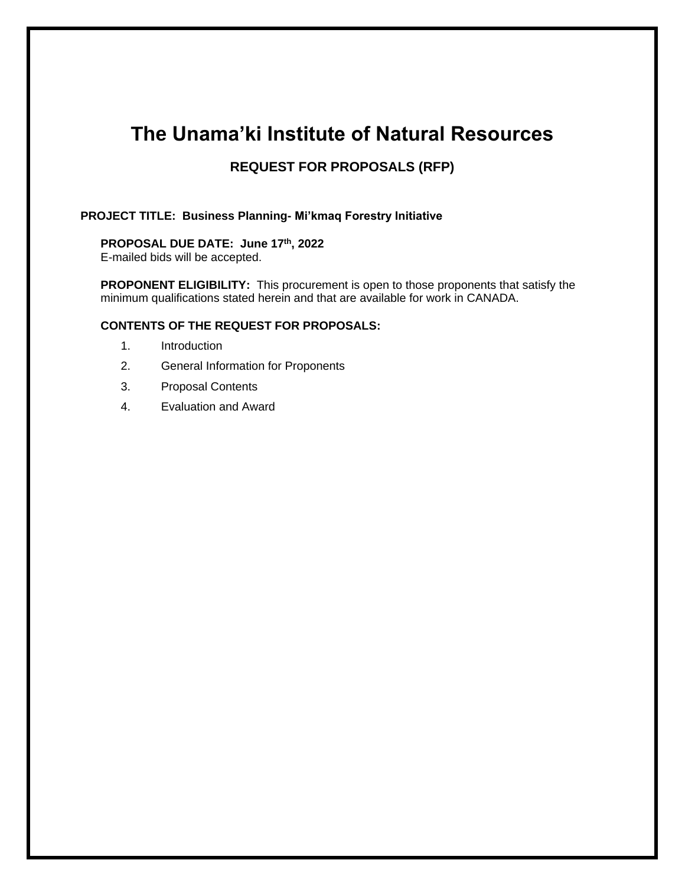# **The Unama'ki Institute of Natural Resources**

# **REQUEST FOR PROPOSALS (RFP)**

## **PROJECT TITLE: Business Planning- Mi'kmaq Forestry Initiative**

### **PROPOSAL DUE DATE: June 17th, 2022**

E-mailed bids will be accepted.

**PROPONENT ELIGIBILITY:** This procurement is open to those proponents that satisfy the minimum qualifications stated herein and that are available for work in CANADA.

#### **CONTENTS OF THE REQUEST FOR PROPOSALS:**

- 1. Introduction
- 2. General Information for Proponents
- 3. Proposal Contents
- 4. Evaluation and Award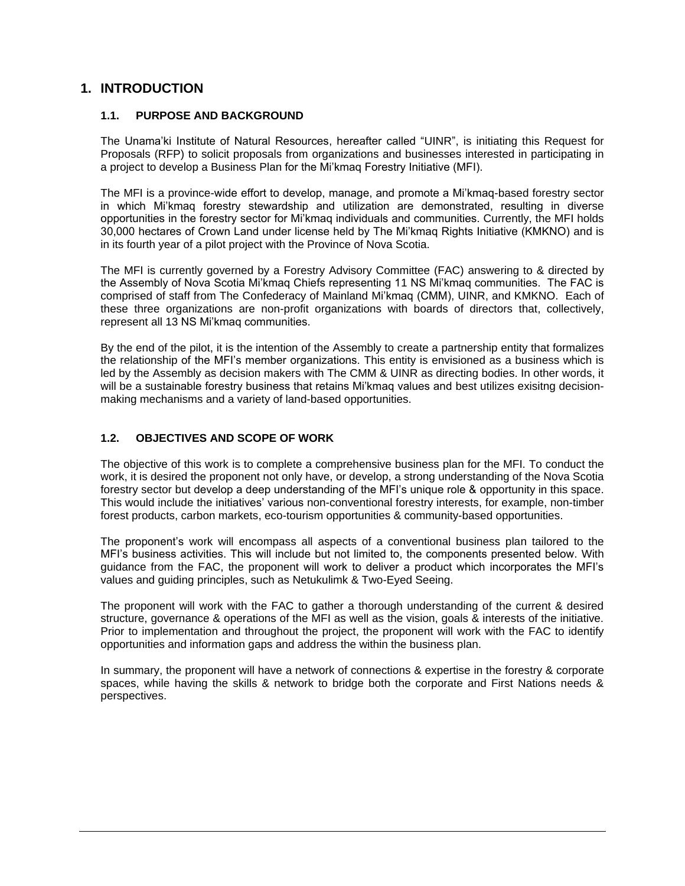# **1. INTRODUCTION**

#### **1.1. PURPOSE AND BACKGROUND**

The Unama'ki Institute of Natural Resources, hereafter called "UINR", is initiating this Request for Proposals (RFP) to solicit proposals from organizations and businesses interested in participating in a project to develop a Business Plan for the Mi'kmaq Forestry Initiative (MFI).

The MFI is a province-wide effort to develop, manage, and promote a Mi'kmaq-based forestry sector in which Mi'kmaq forestry stewardship and utilization are demonstrated, resulting in diverse opportunities in the forestry sector for Mi'kmaq individuals and communities. Currently, the MFI holds 30,000 hectares of Crown Land under license held by The Mi'kmaq Rights Initiative (KMKNO) and is in its fourth year of a pilot project with the Province of Nova Scotia.

The MFI is currently governed by a Forestry Advisory Committee (FAC) answering to & directed by the Assembly of Nova Scotia Mi'kmaq Chiefs representing 11 NS Mi'kmaq communities. The FAC is comprised of staff from The Confederacy of Mainland Mi'kmaq (CMM), UINR, and KMKNO. Each of these three organizations are non-profit organizations with boards of directors that, collectively, represent all 13 NS Mi'kmaq communities.

By the end of the pilot, it is the intention of the Assembly to create a partnership entity that formalizes the relationship of the MFI's member organizations. This entity is envisioned as a business which is led by the Assembly as decision makers with The CMM & UINR as directing bodies. In other words, it will be a sustainable forestry business that retains Mi'kmaq values and best utilizes exisitng decisionmaking mechanisms and a variety of land-based opportunities.

### **1.2. OBJECTIVES AND SCOPE OF WORK**

The objective of this work is to complete a comprehensive business plan for the MFI. To conduct the work, it is desired the proponent not only have, or develop, a strong understanding of the Nova Scotia forestry sector but develop a deep understanding of the MFI's unique role & opportunity in this space. This would include the initiatives' various non-conventional forestry interests, for example, non-timber forest products, carbon markets, eco-tourism opportunities & community-based opportunities.

The proponent's work will encompass all aspects of a conventional business plan tailored to the MFI's business activities. This will include but not limited to, the components presented below. With guidance from the FAC, the proponent will work to deliver a product which incorporates the MFI's values and guiding principles, such as Netukulimk & Two-Eyed Seeing.

The proponent will work with the FAC to gather a thorough understanding of the current & desired structure, governance & operations of the MFI as well as the vision, goals & interests of the initiative. Prior to implementation and throughout the project, the proponent will work with the FAC to identify opportunities and information gaps and address the within the business plan.

In summary, the proponent will have a network of connections & expertise in the forestry & corporate spaces, while having the skills & network to bridge both the corporate and First Nations needs & perspectives.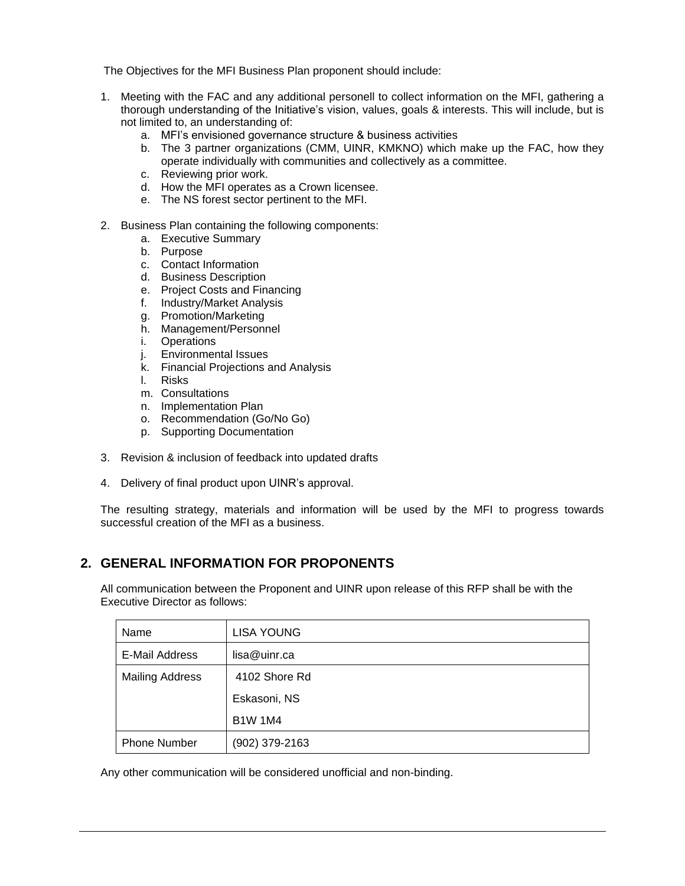The Objectives for the MFI Business Plan proponent should include:

- 1. Meeting with the FAC and any additional personell to collect information on the MFI, gathering a thorough understanding of the Initiative's vision, values, goals & interests. This will include, but is not limited to, an understanding of:
	- a. MFI's envisioned governance structure & business activities
	- b. The 3 partner organizations (CMM, UINR, KMKNO) which make up the FAC, how they operate individually with communities and collectively as a committee.
	- c. Reviewing prior work.
	- d. How the MFI operates as a Crown licensee.
	- e. The NS forest sector pertinent to the MFI.
- 2. Business Plan containing the following components:
	- a. Executive Summary
	- b. Purpose
	- c. Contact Information
	- d. Business Description
	- e. Project Costs and Financing
	- f. Industry/Market Analysis
	- g. Promotion/Marketing
	- h. Management/Personnel
	- i. Operations
	- j. Environmental Issues
	- k. Financial Projections and Analysis
	- l. Risks
	- m. Consultations
	- n. Implementation Plan
	- o. Recommendation (Go/No Go)
	- p. Supporting Documentation
- 3. Revision & inclusion of feedback into updated drafts
- 4. Delivery of final product upon UINR's approval.

The resulting strategy, materials and information will be used by the MFI to progress towards successful creation of the MFI as a business.

# **2. GENERAL INFORMATION FOR PROPONENTS**

All communication between the Proponent and UINR upon release of this RFP shall be with the Executive Director as follows:

| Name                   | <b>LISA YOUNG</b> |
|------------------------|-------------------|
| E-Mail Address         | lisa@uinr.ca      |
| <b>Mailing Address</b> | 4102 Shore Rd     |
|                        | Eskasoni, NS      |
|                        | <b>B1W 1M4</b>    |
| <b>Phone Number</b>    | (902) 379-2163    |

Any other communication will be considered unofficial and non-binding.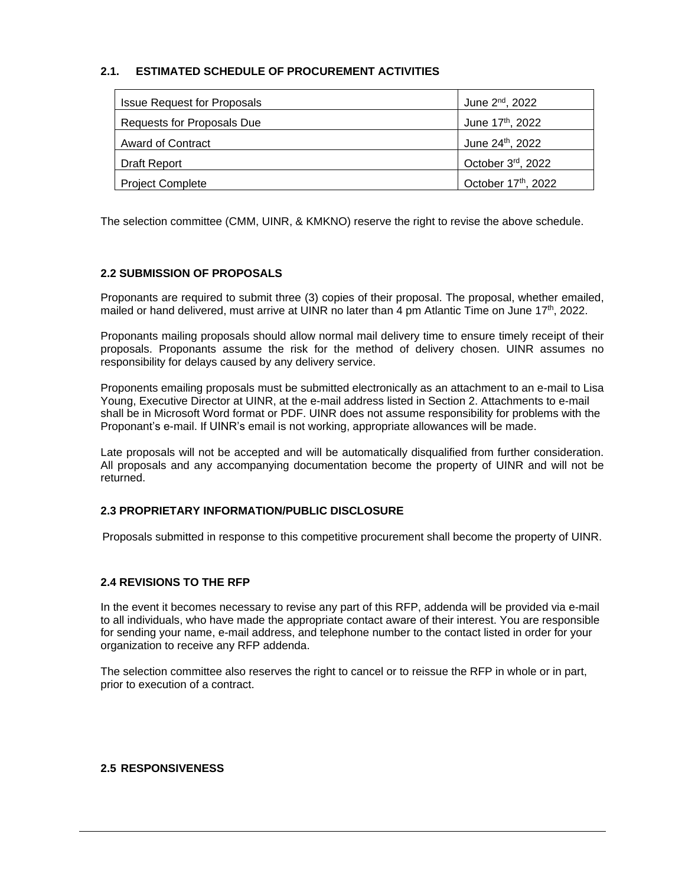## **2.1. ESTIMATED SCHEDULE OF PROCUREMENT ACTIVITIES**

| <b>Issue Request for Proposals</b> | June 2 <sup>nd</sup> , 2022  |
|------------------------------------|------------------------------|
| Requests for Proposals Due         | June 17 <sup>th</sup> , 2022 |
| <b>Award of Contract</b>           | June 24 <sup>th</sup> , 2022 |
| Draft Report                       | October 3rd, 2022            |
| <b>Project Complete</b>            | October 17th, 2022           |

The selection committee (CMM, UINR, & KMKNO) reserve the right to revise the above schedule.

### **2.2 SUBMISSION OF PROPOSALS**

Proponants are required to submit three (3) copies of their proposal. The proposal, whether emailed, mailed or hand delivered, must arrive at UINR no later than 4 pm Atlantic Time on June 17<sup>th</sup>, 2022.

Proponants mailing proposals should allow normal mail delivery time to ensure timely receipt of their proposals. Proponants assume the risk for the method of delivery chosen. UINR assumes no responsibility for delays caused by any delivery service.

Proponents emailing proposals must be submitted electronically as an attachment to an e-mail to Lisa Young, Executive Director at UINR, at the e-mail address listed in Section 2. Attachments to e-mail shall be in Microsoft Word format or PDF. UINR does not assume responsibility for problems with the Proponant's e-mail. If UINR's email is not working, appropriate allowances will be made.

Late proposals will not be accepted and will be automatically disqualified from further consideration. All proposals and any accompanying documentation become the property of UINR and will not be returned.

### **2.3 PROPRIETARY INFORMATION/PUBLIC DISCLOSURE**

Proposals submitted in response to this competitive procurement shall become the property of UINR.

#### **2.4 REVISIONS TO THE RFP**

In the event it becomes necessary to revise any part of this RFP, addenda will be provided via e-mail to all individuals, who have made the appropriate contact aware of their interest. You are responsible for sending your name, e-mail address, and telephone number to the contact listed in order for your organization to receive any RFP addenda.

The selection committee also reserves the right to cancel or to reissue the RFP in whole or in part, prior to execution of a contract.

### **2.5 RESPONSIVENESS**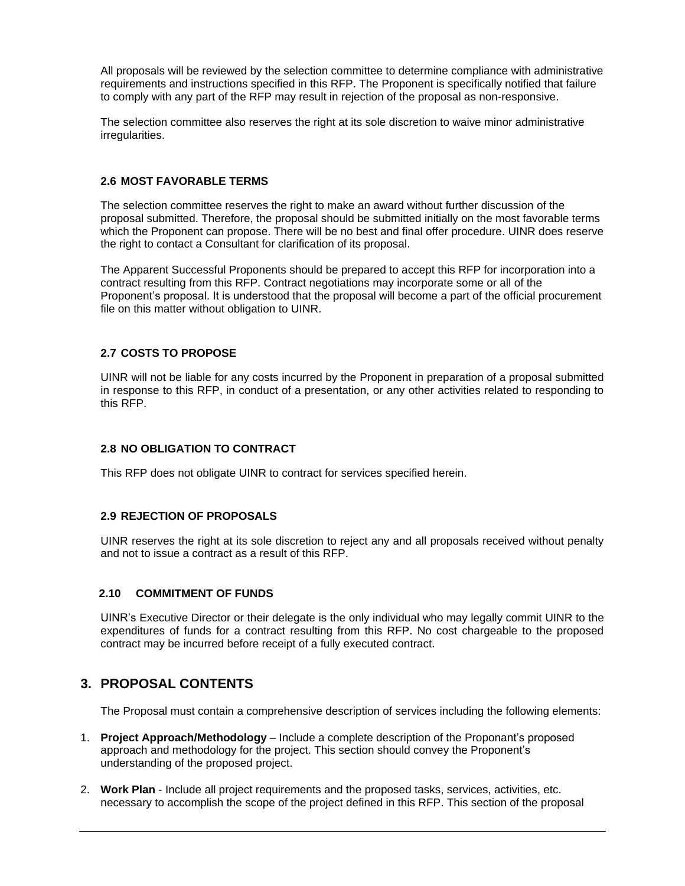All proposals will be reviewed by the selection committee to determine compliance with administrative requirements and instructions specified in this RFP. The Proponent is specifically notified that failure to comply with any part of the RFP may result in rejection of the proposal as non-responsive.

The selection committee also reserves the right at its sole discretion to waive minor administrative irregularities.

#### **2.6 MOST FAVORABLE TERMS**

The selection committee reserves the right to make an award without further discussion of the proposal submitted. Therefore, the proposal should be submitted initially on the most favorable terms which the Proponent can propose. There will be no best and final offer procedure. UINR does reserve the right to contact a Consultant for clarification of its proposal.

The Apparent Successful Proponents should be prepared to accept this RFP for incorporation into a contract resulting from this RFP. Contract negotiations may incorporate some or all of the Proponent's proposal. It is understood that the proposal will become a part of the official procurement file on this matter without obligation to UINR.

### **2.7 COSTS TO PROPOSE**

UINR will not be liable for any costs incurred by the Proponent in preparation of a proposal submitted in response to this RFP, in conduct of a presentation, or any other activities related to responding to this RFP.

### **2.8 NO OBLIGATION TO CONTRACT**

This RFP does not obligate UINR to contract for services specified herein.

### **2.9 REJECTION OF PROPOSALS**

UINR reserves the right at its sole discretion to reject any and all proposals received without penalty and not to issue a contract as a result of this RFP.

### **2.10 COMMITMENT OF FUNDS**

UINR's Executive Director or their delegate is the only individual who may legally commit UINR to the expenditures of funds for a contract resulting from this RFP. No cost chargeable to the proposed contract may be incurred before receipt of a fully executed contract.

## **3. PROPOSAL CONTENTS**

The Proposal must contain a comprehensive description of services including the following elements:

- 1. **Project Approach/Methodology** Include a complete description of the Proponant's proposed approach and methodology for the project. This section should convey the Proponent's understanding of the proposed project.
- 2. **Work Plan**  Include all project requirements and the proposed tasks, services, activities, etc. necessary to accomplish the scope of the project defined in this RFP. This section of the proposal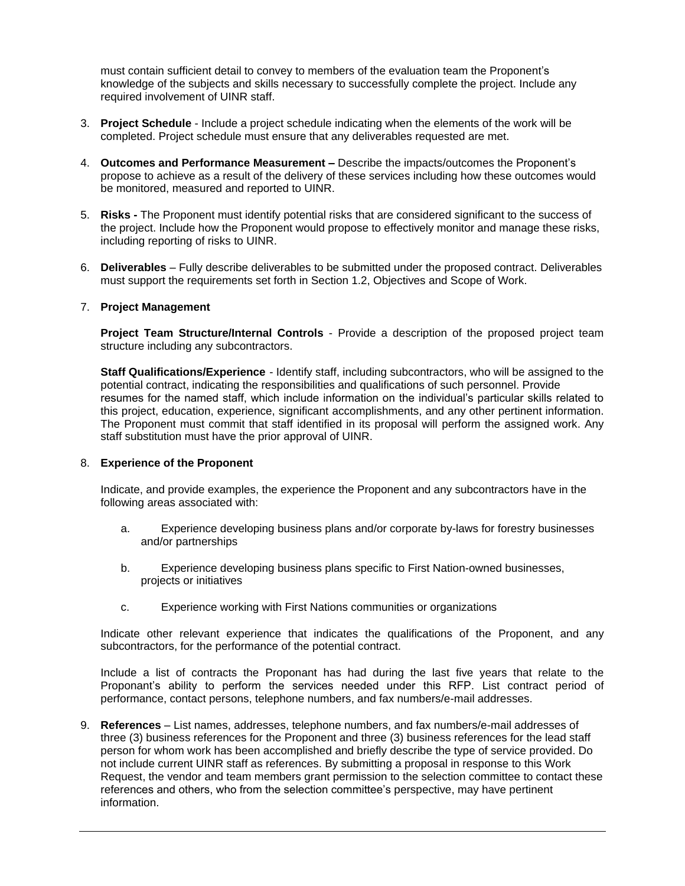must contain sufficient detail to convey to members of the evaluation team the Proponent's knowledge of the subjects and skills necessary to successfully complete the project. Include any required involvement of UINR staff.

- 3. **Project Schedule** Include a project schedule indicating when the elements of the work will be completed. Project schedule must ensure that any deliverables requested are met.
- 4. **Outcomes and Performance Measurement –** Describe the impacts/outcomes the Proponent's propose to achieve as a result of the delivery of these services including how these outcomes would be monitored, measured and reported to UINR.
- 5. **Risks -** The Proponent must identify potential risks that are considered significant to the success of the project. Include how the Proponent would propose to effectively monitor and manage these risks, including reporting of risks to UINR.
- 6. **Deliverables**  Fully describe deliverables to be submitted under the proposed contract. Deliverables must support the requirements set forth in Section 1.2, Objectives and Scope of Work.

#### 7. **Project Management**

**Project Team Structure/Internal Controls** - Provide a description of the proposed project team structure including any subcontractors.

**Staff Qualifications/Experience** - Identify staff, including subcontractors, who will be assigned to the potential contract, indicating the responsibilities and qualifications of such personnel. Provide resumes for the named staff, which include information on the individual's particular skills related to this project, education, experience, significant accomplishments, and any other pertinent information. The Proponent must commit that staff identified in its proposal will perform the assigned work. Any staff substitution must have the prior approval of UINR.

#### 8. **Experience of the Proponent**

Indicate, and provide examples, the experience the Proponent and any subcontractors have in the following areas associated with:

- a. Experience developing business plans and/or corporate by-laws for forestry businesses and/or partnerships
- b. Experience developing business plans specific to First Nation-owned businesses, projects or initiatives
- c. Experience working with First Nations communities or organizations

Indicate other relevant experience that indicates the qualifications of the Proponent, and any subcontractors, for the performance of the potential contract.

Include a list of contracts the Proponant has had during the last five years that relate to the Proponant's ability to perform the services needed under this RFP. List contract period of performance, contact persons, telephone numbers, and fax numbers/e-mail addresses.

9. **References** – List names, addresses, telephone numbers, and fax numbers/e-mail addresses of three (3) business references for the Proponent and three (3) business references for the lead staff person for whom work has been accomplished and briefly describe the type of service provided. Do not include current UINR staff as references. By submitting a proposal in response to this Work Request, the vendor and team members grant permission to the selection committee to contact these references and others, who from the selection committee's perspective, may have pertinent information.